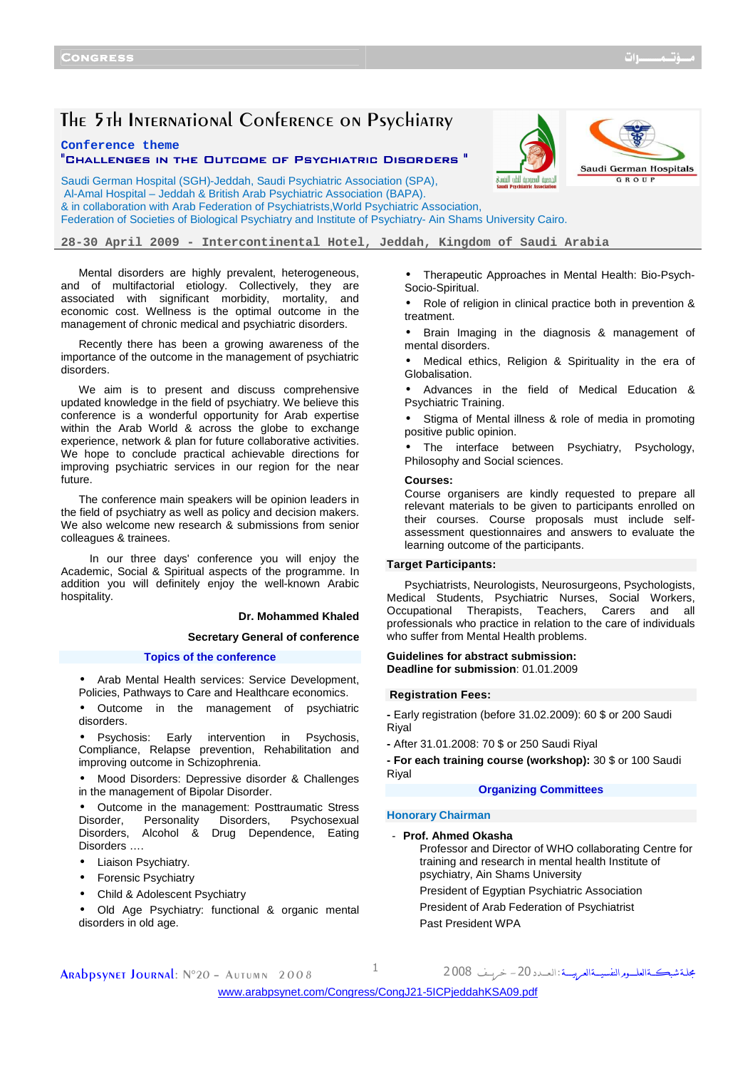# The 5th International Conference on Psychiatry

**Conference theme** 

#### "CHALLENGES IN THE OUTCOME OF PSYCHIATRIC DISORDERS "

kaan looma libi limus



Saudi German Hospital (SGH)-Jeddah, Saudi Psychiatric Association (SPA), Al-Amal Hospital – Jeddah & British Arab Psychiatric Association (BAPA). & in collaboration with Arab Federation of Psychiatrists,World Psychiatric Association, Federation of Societies of Biological Psychiatry and Institute of Psychiatry- Ain Shams University Cairo.

**28-30 April 2009 - Intercontinental Hotel, Jeddah, Kingdom of Saudi Arabia** 

Mental disorders are highly prevalent, heterogeneous, and of multifactorial etiology. Collectively, they are associated with significant morbidity, mortality, and economic cost. Wellness is the optimal outcome in the management of chronic medical and psychiatric disorders.

Recently there has been a growing awareness of the importance of the outcome in the management of psychiatric disorders.

We aim is to present and discuss comprehensive updated knowledge in the field of psychiatry. We believe this conference is a wonderful opportunity for Arab expertise within the Arab World & across the globe to exchange experience, network & plan for future collaborative activities. We hope to conclude practical achievable directions for improving psychiatric services in our region for the near future.

The conference main speakers will be opinion leaders in the field of psychiatry as well as policy and decision makers. We also welcome new research & submissions from senior colleagues & trainees.

 In our three days' conference you will enjoy the Academic, Social & Spiritual aspects of the programme. In addition you will definitely enjoy the well-known Arabic hospitality.

#### **Dr. Mohammed Khaled**

**Secretary General of conference** 

#### **Topics of the conference**

• Arab Mental Health services: Service Development, Policies, Pathways to Care and Healthcare economics.

• Outcome in the management of psychiatric disorders.

• Psychosis: Early intervention in Psychosis, Compliance, Relapse prevention, Rehabilitation and improving outcome in Schizophrenia.

Mood Disorders: Depressive disorder & Challenges in the management of Bipolar Disorder.

• Outcome in the management: Posttraumatic Stress<br>Disorder, Personality Disorders, Psychosexual Psychosexual Disorders, Alcohol & Drug Dependence, Eating Disorders ….

- Liaison Psychiatry.
- Forensic Psychiatry
- Child & Adolescent Psychiatry

• Old Age Psychiatry: functional & organic mental disorders in old age.

• Therapeutic Approaches in Mental Health: Bio-Psych-Socio-Spiritual.

Role of religion in clinical practice both in prevention & treatment.

Brain Imaging in the diagnosis & management of mental disorders.

Medical ethics, Religion & Spirituality in the era of Globalisation.

• Advances in the field of Medical Education & Psychiatric Training.

Stigma of Mental illness & role of media in promoting positive public opinion.

• The interface between Psychiatry, Psychology, Philosophy and Social sciences.

#### **Courses:**

Course organisers are kindly requested to prepare all relevant materials to be given to participants enrolled on their courses. Course proposals must include selfassessment questionnaires and answers to evaluate the learning outcome of the participants.

#### **Target Participants:**

Psychiatrists, Neurologists, Neurosurgeons, Psychologists, Medical Students, Psychiatric Nurses, Social Workers, Occupational Therapists, Teachers, Carers and all professionals who practice in relation to the care of individuals who suffer from Mental Health problems.

# **Guidelines for abstract submission:**

**Deadline for submission**: 01.01.2009

#### **Registration Fees:**

**-** Early registration (before 31.02.2009): 60 \$ or 200 Saudi Riyal

**-** After 31.01.2008: 70 \$ or 250 Saudi Riyal

**- For each training course (workshop):** 30 \$ or 100 Saudi Riyal

#### **Organizing Committees**

#### **Honorary Chairman**

#### - **Prof. Ahmed Okasha**

Professor and Director of WHO collaborating Centre for training and research in mental health Institute of psychiatry, Ain Shams University

مجلةشبڪــةالعلـــومرالنفسيــةالعـرييـــة :

President of Egyptian Psychiatric Association

President of Arab Federation of Psychiatrist

Past President WPA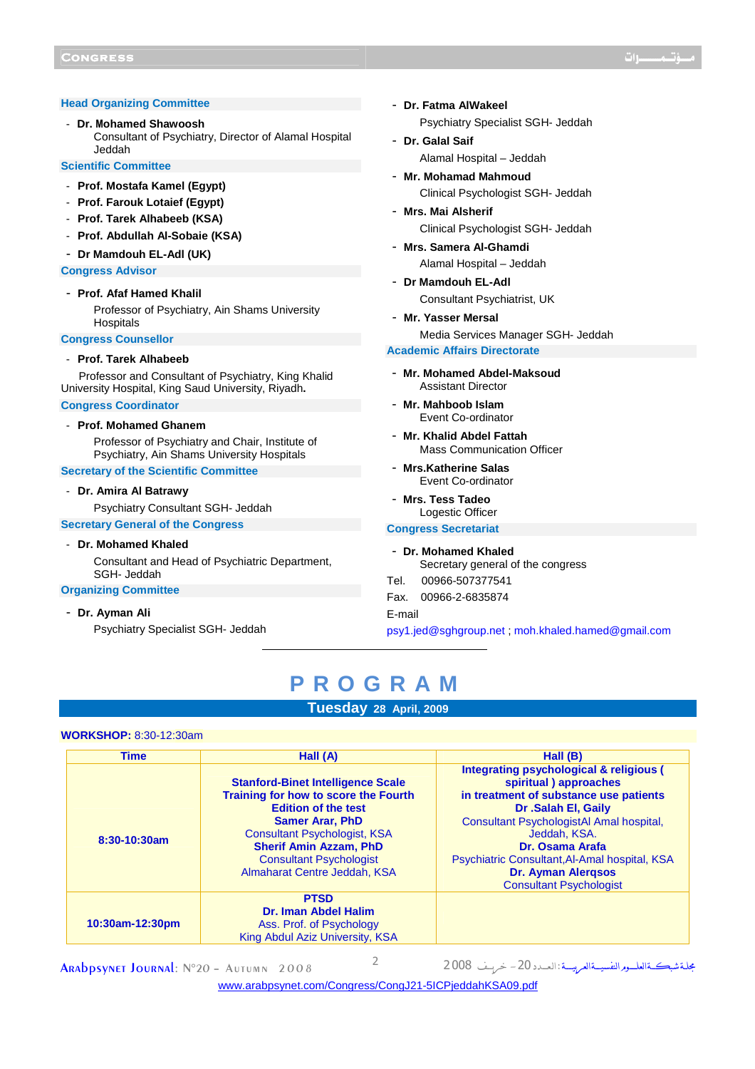#### **Head Organizing Committee**

- **Dr. Mohamed Shawoosh**  Consultant of Psychiatry, Director of Alamal Hospital Jeddah

#### **Scientific Committee**

- **Prof. Mostafa Kamel (Egypt)**
- **Prof. Farouk Lotaief (Egypt)**
- **Prof. Tarek Alhabeeb (KSA)**
- **Prof. Abdullah Al-Sobaie (KSA)**
- **Dr Mamdouh EL-Adl (UK)**

#### **Congress Advisor**

#### - **Prof. Afaf Hamed Khalil**

Professor of Psychiatry, Ain Shams University **Hospitals** 

#### **Congress Counsellor**

#### - **Prof. Tarek Alhabeeb**

Professor and Consultant of Psychiatry, King Khalid University Hospital, King Saud University, Riyadh**.** 

#### **Congress Coordinator**

#### - **Prof. Mohamed Ghanem**

Professor of Psychiatry and Chair, Institute of Psychiatry, Ain Shams University Hospitals

# **Secretary of the Scientific Committee**

#### - **Dr. Amira Al Batrawy**

Psychiatry Consultant SGH- Jeddah

#### **Secretary General of the Congress**

#### - **Dr. Mohamed Khaled**

Consultant and Head of Psychiatric Department, SGH- Jeddah

#### **Organizing Committee**

- **Dr. Ayman Ali**

Psychiatry Specialist SGH- Jeddah

- **Dr. Fatma AlWakeel** Psychiatry Specialist SGH- Jeddah
- **Dr. Galal Saif** Alamal Hospital – Jeddah
- **Mr. Mohamad Mahmoud** Clinical Psychologist SGH- Jeddah
- **Mrs. Mai Alsherif** Clinical Psychologist SGH- Jeddah
- **Mrs. Samera Al-Ghamdi** Alamal Hospital – Jeddah
- **Dr Mamdouh EL-Adl** Consultant Psychiatrist, UK
- **Mr. Yasser Mersal** Media Services Manager SGH- Jeddah

# **Academic Affairs Directorate**

- **Mr. Mohamed Abdel-Maksoud** Assistant Director
- **Mr. Mahboob Islam** Event Co-ordinator
- **Mr. Khalid Abdel Fattah** Mass Communication Officer
- **Mrs.Katherine Salas** Event Co-ordinator
- **Mrs. Tess Tadeo** Logestic Officer

# **Congress Secretariat**

- **Dr. Mohamed Khaled** Secretary general of the congress

ֺֺׅ֝֬֘

- Tel. 00966-507377541
- Fax. 00966-2-6835874

E-mail

psy1.jed@sghgroup.net ; moh.khaled.hamed@gmail.com

# **P R O G R A M**

# **Tuesday 28 April, 2009**

#### **WORKSHOP:** 8:30-12:30am

| <b>Time</b>     | Hall (A)                                                                                                                                                                                                                                                                           | Hall (B)                                                                                                                                                                                                                                                                                                                         |
|-----------------|------------------------------------------------------------------------------------------------------------------------------------------------------------------------------------------------------------------------------------------------------------------------------------|----------------------------------------------------------------------------------------------------------------------------------------------------------------------------------------------------------------------------------------------------------------------------------------------------------------------------------|
| $8:30-10:30am$  | <b>Stanford-Binet Intelligence Scale</b><br>Training for how to score the Fourth<br><b>Edition of the test</b><br><b>Samer Arar, PhD</b><br><b>Consultant Psychologist, KSA</b><br><b>Sherif Amin Azzam, PhD</b><br><b>Consultant Psychologist</b><br>Almaharat Centre Jeddah, KSA | Integrating psychological & religious (<br>spiritual) approaches<br>in treatment of substance use patients<br>Dr .Salah El, Gaily<br>Consultant PsychologistAI Amal hospital,<br>Jeddah, KSA.<br>Dr. Osama Arafa<br>Psychiatric Consultant, Al-Amal hospital, KSA<br><b>Dr. Ayman Alergsos</b><br><b>Consultant Psychologist</b> |
| 10:30am-12:30pm | <b>PTSD</b><br><b>Dr. Iman Abdel Halim</b><br>Ass. Prof. of Psychology<br>King Abdul Aziz University, KSA                                                                                                                                                                          |                                                                                                                                                                                                                                                                                                                                  |

ARADDSYNET JOURNAL: N°20 - AUTUMN 2008 2

مجلة شبڪــةالعلـــومرالنفسيــةالعـريـــة :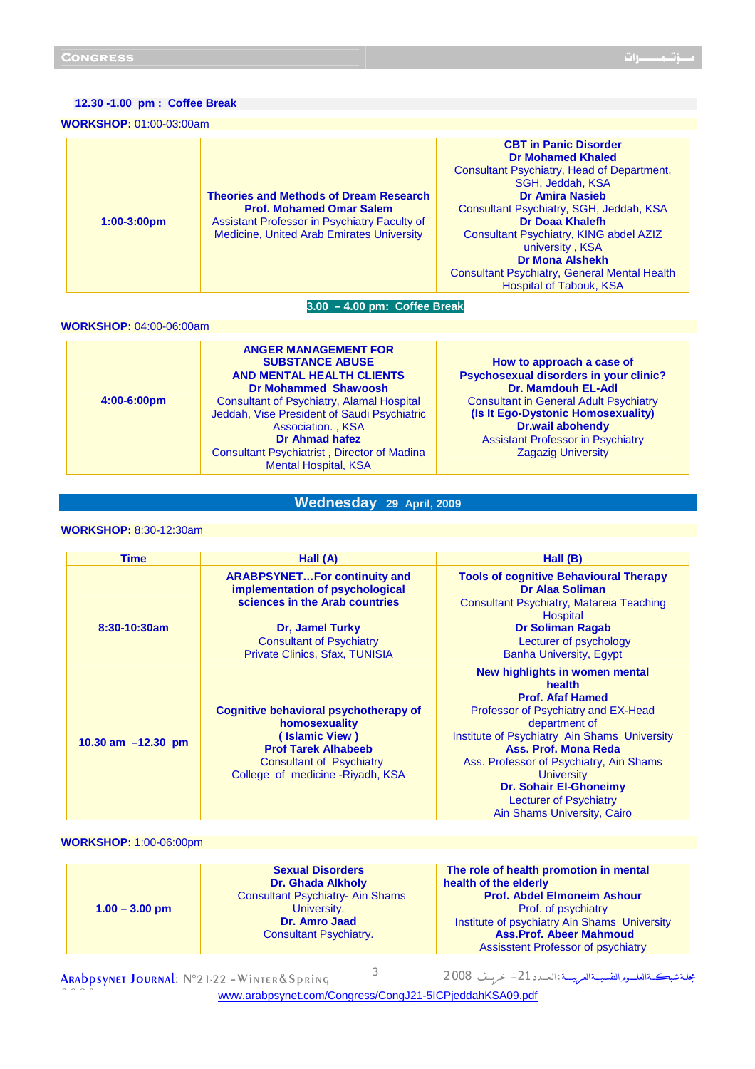#### **12.30 -1.00 pm : Coffee Break**

#### **WORKSHOP:** 01:00-03:00am

| $1:00-3:00 \text{pm}$ | <b>Theories and Methods of Dream Research</b><br><b>Prof. Mohamed Omar Salem</b><br>Assistant Professor in Psychiatry Faculty of<br><b>Medicine, United Arab Emirates University</b> | <b>CBT in Panic Disorder</b><br><b>Dr Mohamed Khaled</b><br><b>Consultant Psychiatry, Head of Department,</b><br>SGH. Jeddah, KSA<br><b>Dr Amira Nasieb</b><br>Consultant Psychiatry, SGH, Jeddah, KSA<br><b>Dr Doaa Khalefh</b><br>Consultant Psychiatry, KING abdel AZIZ<br>university, KSA<br><b>Dr Mona Alshekh</b><br><b>Consultant Psychiatry, General Mental Health</b><br><b>Hospital of Tabouk, KSA</b> |
|-----------------------|--------------------------------------------------------------------------------------------------------------------------------------------------------------------------------------|------------------------------------------------------------------------------------------------------------------------------------------------------------------------------------------------------------------------------------------------------------------------------------------------------------------------------------------------------------------------------------------------------------------|
|-----------------------|--------------------------------------------------------------------------------------------------------------------------------------------------------------------------------------|------------------------------------------------------------------------------------------------------------------------------------------------------------------------------------------------------------------------------------------------------------------------------------------------------------------------------------------------------------------------------------------------------------------|

# **3.00 – 4.00 pm: Coffee Break**

## **WORKSHOP:** 04:00-06:00am

| $4:00-6:00 \text{pm}$ | <b>ANGER MANAGEMENT FOR</b><br><b>SUBSTANCE ABUSE</b><br><b>AND MENTAL HEALTH CLIENTS</b><br><b>Dr Mohammed Shawoosh</b><br><b>Consultant of Psychiatry, Alamal Hospital</b><br>Jeddah, Vise President of Saudi Psychiatric<br>Association., KSA<br>Dr Ahmad hafez<br><b>Consultant Psychiatrist, Director of Madina</b><br><b>Mental Hospital, KSA</b> | How to approach a case of<br>Psychosexual disorders in your clinic?<br><b>Dr. Mamdouh EL-Adl</b><br><b>Consultant in General Adult Psychiatry</b><br>(Is It Ego-Dystonic Homosexuality)<br><b>Dr.wail abohendy</b><br><b>Assistant Professor in Psychiatry</b><br><b>Zagazig University</b> |
|-----------------------|---------------------------------------------------------------------------------------------------------------------------------------------------------------------------------------------------------------------------------------------------------------------------------------------------------------------------------------------------------|---------------------------------------------------------------------------------------------------------------------------------------------------------------------------------------------------------------------------------------------------------------------------------------------|
|-----------------------|---------------------------------------------------------------------------------------------------------------------------------------------------------------------------------------------------------------------------------------------------------------------------------------------------------------------------------------------------------|---------------------------------------------------------------------------------------------------------------------------------------------------------------------------------------------------------------------------------------------------------------------------------------------|

# **Wednesday 29 April, 2009**

## **WORKSHOP:** 8:30-12:30am

| Time                 | Hall (A)                                                                 | Hall (B)                                                                                             |
|----------------------|--------------------------------------------------------------------------|------------------------------------------------------------------------------------------------------|
|                      | <b>ARABPSYNETFor continuity and</b><br>implementation of psychological   | <b>Tools of cognitive Behavioural Therapy</b><br><b>Dr Alaa Soliman</b>                              |
|                      | sciences in the Arab countries                                           | Consultant Psychiatry, Matareia Teaching<br><b>Hospital</b>                                          |
| 8:30-10:30am         | <b>Dr. Jamel Turky</b>                                                   | <b>Dr Soliman Ragab</b>                                                                              |
|                      | <b>Consultant of Psychiatry</b>                                          | Lecturer of psychology                                                                               |
|                      | <b>Private Clinics, Sfax, TUNISIA</b>                                    | <b>Banha University, Egypt</b>                                                                       |
|                      |                                                                          | New highlights in women mental<br>health<br><b>Prof. Afaf Hamed</b>                                  |
|                      | Cognitive behavioral psychotherapy of<br>homosexuality<br>(Islamic View) | Professor of Psychiatry and EX-Head<br>department of<br>Institute of Psychiatry Ain Shams University |
| 10.30 am $-12.30$ pm | <b>Prof Tarek Alhabeeb</b>                                               | Ass. Prof. Mona Reda                                                                                 |
|                      | <b>Consultant of Psychiatry</b>                                          | Ass. Professor of Psychiatry, Ain Shams                                                              |
|                      | College of medicine - Riyadh, KSA                                        | <b>University</b>                                                                                    |
|                      |                                                                          | <b>Dr. Sohair El-Ghoneimy</b>                                                                        |
|                      |                                                                          | <b>Lecturer of Psychiatry</b>                                                                        |
|                      |                                                                          | Ain Shams University, Cairo                                                                          |

# **WORKSHOP:** 1:00-06:00pm

| $1.00 - 3.00$ pm | <b>Sexual Disorders</b><br><b>Dr. Ghada Alkholy</b><br><b>Consultant Psychiatry- Ain Shams</b><br>University.<br>Dr. Amro Jaad<br><b>Consultant Psychiatry.</b> | The role of health promotion in mental<br>health of the elderly<br><b>Prof. Abdel Elmoneim Ashour</b><br>Prof. of psychiatry<br>Institute of psychiatry Ain Shams University<br><b>Ass.Prof. Abeer Mahmoud</b><br><b>Assisstent Professor of psychiatry</b> |
|------------------|-----------------------------------------------------------------------------------------------------------------------------------------------------------------|-------------------------------------------------------------------------------------------------------------------------------------------------------------------------------------------------------------------------------------------------------------|
|------------------|-----------------------------------------------------------------------------------------------------------------------------------------------------------------|-------------------------------------------------------------------------------------------------------------------------------------------------------------------------------------------------------------------------------------------------------------|

ARAbpsynet Journal: N°21-22 - Winter & Spring 2 0 0 8

بحلة شبڪةالعلـور النفسيــةالعربيـــة: العــدد 21 – خريـف 2008<br>مجلة شبڪــةالعلــور النفسيــةالعربيـــة: العــدد 21 – خريــف

www.arabpsynet.com/Congress/CongJ21-5ICPjeddahKSA09.pdf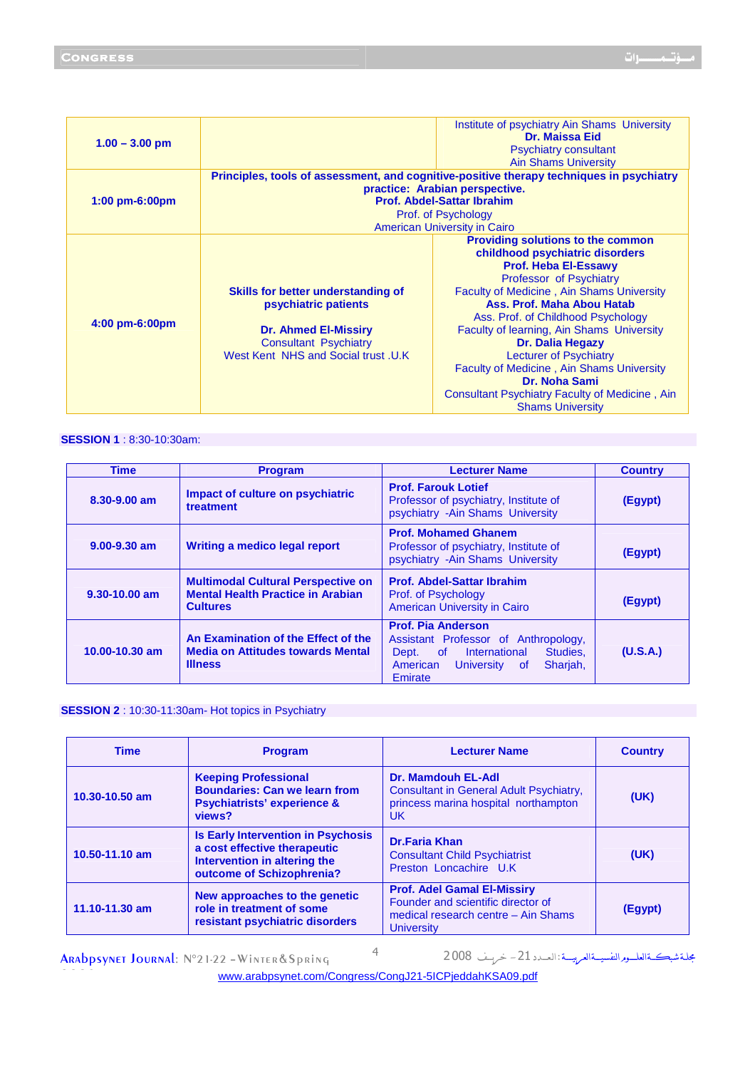| $1.00 - 3.00$ pm | Institute of psychiatry Ain Shams University<br><b>Dr. Maissa Eid</b><br><b>Psychiatry consultant</b><br><b>Ain Shams University</b>                                                                                          |                                                                                                                                                                                                                                                                                                                                                                                                                                                                                                                   |  |
|------------------|-------------------------------------------------------------------------------------------------------------------------------------------------------------------------------------------------------------------------------|-------------------------------------------------------------------------------------------------------------------------------------------------------------------------------------------------------------------------------------------------------------------------------------------------------------------------------------------------------------------------------------------------------------------------------------------------------------------------------------------------------------------|--|
| $1:00$ pm-6:00pm | Principles, tools of assessment, and cognitive-positive therapy techniques in psychiatry<br>practice: Arabian perspective.<br><b>Prof. Abdel-Sattar Ibrahim</b><br>Prof. of Psychology<br><b>American University in Cairo</b> |                                                                                                                                                                                                                                                                                                                                                                                                                                                                                                                   |  |
| $4:00$ pm-6:00pm | Skills for better understanding of<br>psychiatric patients<br><b>Dr. Ahmed El-Missiry</b><br><b>Consultant Psychiatry</b><br>West Kent NHS and Social trust .U.K                                                              | <b>Providing solutions to the common</b><br>childhood psychiatric disorders<br><b>Prof. Heba EI-Essawy</b><br>Professor of Psychiatry<br><b>Faculty of Medicine, Ain Shams University</b><br>Ass. Prof. Maha Abou Hatab<br>Ass. Prof. of Childhood Psychology<br>Faculty of learning, Ain Shams University<br>Dr. Dalia Hegazy<br><b>Lecturer of Psychiatry</b><br><b>Faculty of Medicine, Ain Shams University</b><br>Dr. Noha Sami<br>Consultant Psychiatry Faculty of Medicine, Ain<br><b>Shams University</b> |  |

# **SESSION 1** : 8:30-10:30am:

| <b>Time</b>        | <b>Program</b>                                                                                           | <b>Lecturer Name</b>                                                                                                                                                | <b>Country</b> |
|--------------------|----------------------------------------------------------------------------------------------------------|---------------------------------------------------------------------------------------------------------------------------------------------------------------------|----------------|
| 8.30-9.00 am       | Impact of culture on psychiatric<br>treatment                                                            | <b>Prof. Farouk Lotief</b><br>Professor of psychiatry, Institute of<br>psychiatry - Ain Shams University                                                            | (Egypt)        |
| $9.00 - 9.30$ am   | Writing a medico legal report                                                                            | <b>Prof. Mohamed Ghanem</b><br>Professor of psychiatry, Institute of<br>psychiatry - Ain Shams University                                                           | (Egypt)        |
| $9.30 - 10.00$ am  | <b>Multimodal Cultural Perspective on</b><br><b>Mental Health Practice in Arabian</b><br><b>Cultures</b> | <b>Prof. Abdel-Sattar Ibrahim</b><br>Prof. of Psychology<br><b>American University in Cairo</b>                                                                     | (Egypt)        |
| $10.00 - 10.30$ am | An Examination of the Effect of the<br><b>Media on Attitudes towards Mental</b><br><b>Illness</b>        | <b>Prof. Pia Anderson</b><br>Assistant Professor of Anthropology,<br>of International<br>Studies.<br>Dept.<br>Sharjah,<br>American<br>University<br>of .<br>Emirate | (U.S.A.)       |

# **SESSION 2** : 10:30-11:30am- Hot topics in Psychiatry

| <b>Time</b>    | <b>Program</b>                                                                                                                         | <b>Lecturer Name</b>                                                                                                                 | <b>Country</b> |
|----------------|----------------------------------------------------------------------------------------------------------------------------------------|--------------------------------------------------------------------------------------------------------------------------------------|----------------|
| 10.30-10.50 am | <b>Keeping Professional</b><br><b>Boundaries: Can we learn from</b><br><b>Psychiatrists' experience &amp;</b><br>views?                | Dr. Mamdouh EL-Adl<br>Consultant in General Adult Psychiatry,<br>princess marina hospital northampton<br>UK.                         | (UK)           |
| 10.50-11.10 am | <b>Is Early Intervention in Psychosis</b><br>a cost effective therapeutic<br>Intervention in altering the<br>outcome of Schizophrenia? | <b>Dr.Faria Khan</b><br><b>Consultant Child Psychiatrist</b><br>Preston Loncachire U.K                                               | (UK)           |
| 11.10-11.30 am | New approaches to the genetic<br>role in treatment of some<br>resistant psychiatric disorders                                          | <b>Prof. Adel Gamal El-Missiry</b><br>Founder and scientific director of<br>medical research centre - Ain Shams<br><b>University</b> | (Egypt)        |

ARAbpsynet Journal: N°21-22 - Winter & Spring مجلة شبڪــةالعلــورالنفسيــةالعربيـــة:العــدد 21 – خريـف 2008 4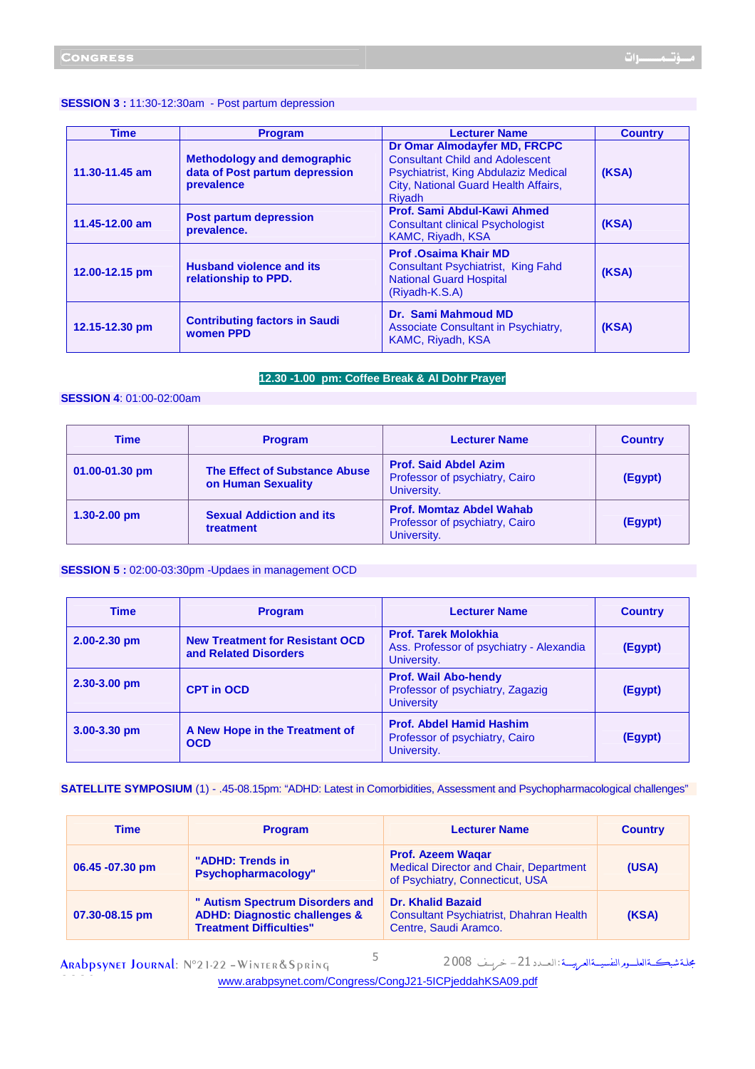#### **SESSION 3 :** 11:30-12:30am - Post partum depression

| Time           | <b>Program</b>                                                                     | <b>Lecturer Name</b>                                                                                                                                             | <b>Country</b> |
|----------------|------------------------------------------------------------------------------------|------------------------------------------------------------------------------------------------------------------------------------------------------------------|----------------|
| 11.30-11.45 am | <b>Methodology and demographic</b><br>data of Post partum depression<br>prevalence | Dr Omar Almodayfer MD, FRCPC<br><b>Consultant Child and Adolescent</b><br>Psychiatrist, King Abdulaziz Medical<br>City, National Guard Health Affairs,<br>Rivadh | (KSA)          |
| 11.45-12.00 am | <b>Post partum depression</b><br>prevalence.                                       | Prof. Sami Abdul-Kawi Ahmed<br><b>Consultant clinical Psychologist</b><br><b>KAMC, Riyadh, KSA</b>                                                               | (KSA)          |
| 12.00-12.15 pm | <b>Husband violence and its</b><br>relationship to PPD.                            | <b>Prof .Osaima Khair MD</b><br><b>Consultant Psychiatrist, King Fahd</b><br><b>National Guard Hospital</b><br>(Riyadh-K.S.A)                                    | (KSA)          |
| 12.15-12.30 pm | <b>Contributing factors in Saudi</b><br>women PPD                                  | Dr. Sami Mahmoud MD<br>Associate Consultant in Psychiatry,<br>KAMC, Riyadh, KSA                                                                                  | (KSA)          |

# **12.30 -1.00 pm: Coffee Break & Al Dohr Prayer**

## **SESSION 4**: 01:00-02:00am

| <b>Time</b>        | <b>Program</b>                                             | <b>Lecturer Name</b>                                                             | <b>Country</b> |
|--------------------|------------------------------------------------------------|----------------------------------------------------------------------------------|----------------|
| $01.00 - 01.30$ pm | <b>The Effect of Substance Abuse</b><br>on Human Sexuality | <b>Prof. Said Abdel Azim</b><br>Professor of psychiatry, Cairo<br>University.    | (Egypt)        |
| $1.30 - 2.00$ pm   | <b>Sexual Addiction and its</b><br>treatment               | <b>Prof. Momtaz Abdel Wahab</b><br>Professor of psychiatry, Cairo<br>University. | (Egypt)        |

#### **SESSION 5 :** 02:00-03:30pm -Updaes in management OCD

| <b>Time</b>      | <b>Program</b>                                                  | <b>Lecturer Name</b>                                                                   | <b>Country</b> |
|------------------|-----------------------------------------------------------------|----------------------------------------------------------------------------------------|----------------|
| 2.00-2.30 pm     | <b>New Treatment for Resistant OCD</b><br>and Related Disorders | <b>Prof. Tarek Molokhia</b><br>Ass. Professor of psychiatry - Alexandia<br>University. | (Egypt)        |
| $2.30 - 3.00$ pm | <b>CPT in OCD</b>                                               | <b>Prof. Wail Abo-hendy</b><br>Professor of psychiatry, Zagazig<br><b>University</b>   | (Egypt)        |
| 3.00-3.30 pm     | A New Hope in the Treatment of<br><b>OCD</b>                    | <b>Prof. Abdel Hamid Hashim</b><br>Professor of psychiatry, Cairo<br>University.       | (Egypt)        |

# **SATELLITE SYMPOSIUM** (1) - .45-08.15pm: "ADHD: Latest in Comorbidities, Assessment and Psychopharmacological challenges"

| <b>Time</b>      | <b>Program</b>                                                                                                | <b>Lecturer Name</b>                                                                                         | <b>Country</b> |
|------------------|---------------------------------------------------------------------------------------------------------------|--------------------------------------------------------------------------------------------------------------|----------------|
| 06.45 - 07.30 pm | "ADHD: Trends in<br>Psychopharmacology"                                                                       | <b>Prof. Azeem Wagar</b><br><b>Medical Director and Chair, Department</b><br>of Psychiatry, Connecticut, USA | (USA)          |
| 07.30-08.15 pm   | " Autism Spectrum Disorders and<br><b>ADHD: Diagnostic challenges &amp;</b><br><b>Treatment Difficulties"</b> | <b>Dr. Khalid Bazaid</b><br>Consultant Psychiatrist, Dhahran Health<br>Centre, Saudi Aramco.                 | (KSA)          |

ARAbpsynet Journal: N°21-22 - Winter & Spring

2 0 0 8

مجلة شبڪةالعلـور النفسيــةالعربيـــة : العــدد 21 – خريـف 2008 5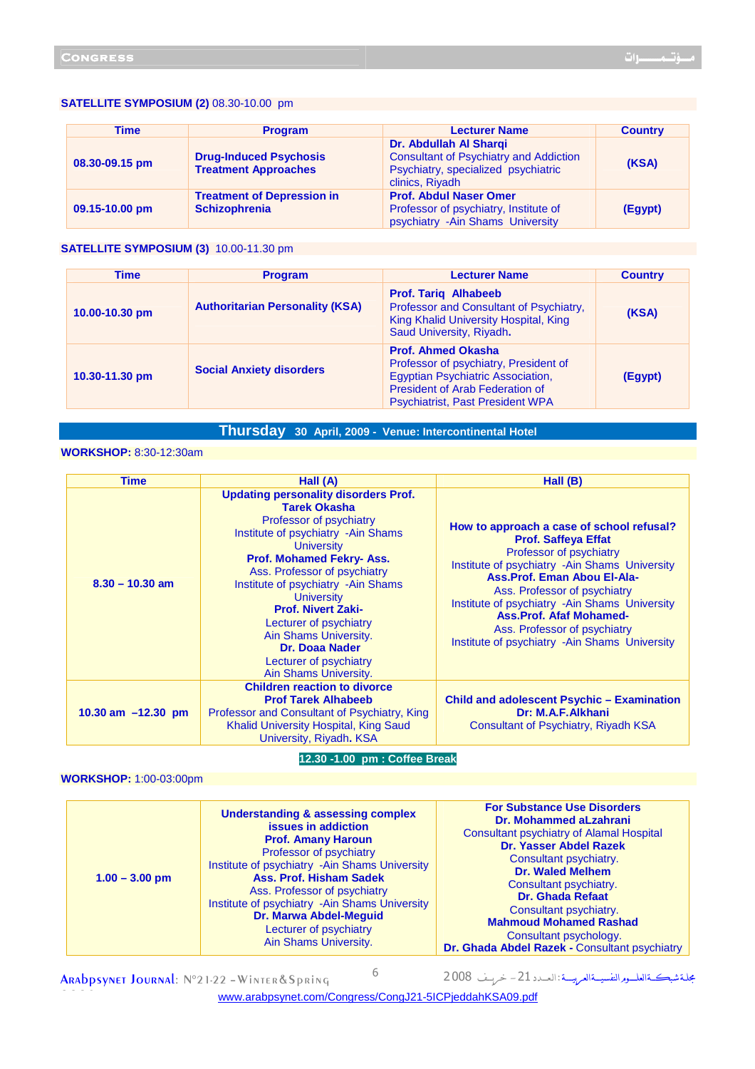#### **SATELLITE SYMPOSIUM (2)** 08.30-10.00 pm

| <b>Time</b>    | <b>Program</b>                                               | <b>Lecturer Name</b>                                                                                                              | <b>Country</b> |
|----------------|--------------------------------------------------------------|-----------------------------------------------------------------------------------------------------------------------------------|----------------|
| 08.30-09.15 pm | <b>Drug-Induced Psychosis</b><br><b>Treatment Approaches</b> | Dr. Abdullah Al Sharqi<br><b>Consultant of Psychiatry and Addiction</b><br>Psychiatry, specialized psychiatric<br>clinics, Riyadh | (KSA)          |
| 09.15-10.00 pm | <b>Treatment of Depression in</b><br><b>Schizophrenia</b>    | <b>Prof. Abdul Naser Omer</b><br>Professor of psychiatry, Institute of<br>psychiatry - Ain Shams University                       | (Egypt)        |

# **SATELLITE SYMPOSIUM (3)** 10.00-11.30 pm

| <b>Time</b>    | <b>Program</b>                         | <b>Lecturer Name</b>                                                                                                                                                                         | <b>Country</b> |
|----------------|----------------------------------------|----------------------------------------------------------------------------------------------------------------------------------------------------------------------------------------------|----------------|
| 10.00-10.30 pm | <b>Authoritarian Personality (KSA)</b> | <b>Prof. Tariq Alhabeeb</b><br>Professor and Consultant of Psychiatry,<br>King Khalid University Hospital, King<br>Saud University, Riyadh.                                                  | (KSA)          |
| 10.30-11.30 pm | <b>Social Anxiety disorders</b>        | <b>Prof. Ahmed Okasha</b><br>Professor of psychiatry, President of<br><b>Egyptian Psychiatric Association,</b><br>President of Arab Federation of<br><b>Psychiatrist, Past President WPA</b> | (Egypt)        |

# **Thursday 30 April, 2009 - Venue: Intercontinental Hotel**

# **WORKSHOP:** 8:30-12:30am

| <b>Time</b>          | Hall (A)                                                                                                                                                                                                                                                                                                                                                                                                                                     | Hall (B)                                                                                                                                                                                                                                                                                                                                                                                 |
|----------------------|----------------------------------------------------------------------------------------------------------------------------------------------------------------------------------------------------------------------------------------------------------------------------------------------------------------------------------------------------------------------------------------------------------------------------------------------|------------------------------------------------------------------------------------------------------------------------------------------------------------------------------------------------------------------------------------------------------------------------------------------------------------------------------------------------------------------------------------------|
| $8.30 - 10.30$ am    | <b>Updating personality disorders Prof.</b><br><b>Tarek Okasha</b><br>Professor of psychiatry<br>Institute of psychiatry -Ain Shams<br><b>University</b><br>Prof. Mohamed Fekry-Ass.<br>Ass. Professor of psychiatry<br>Institute of psychiatry - Ain Shams<br><b>University</b><br><b>Prof. Nivert Zaki-</b><br>Lecturer of psychiatry<br>Ain Shams University.<br><b>Dr. Doaa Nader</b><br>Lecturer of psychiatry<br>Ain Shams University. | How to approach a case of school refusal?<br><b>Prof. Saffeya Effat</b><br>Professor of psychiatry<br>Institute of psychiatry -Ain Shams University<br>Ass. Prof. Eman Abou El-Ala-<br>Ass. Professor of psychiatry<br>Institute of psychiatry -Ain Shams University<br><b>Ass.Prof. Afaf Mohamed-</b><br>Ass. Professor of psychiatry<br>Institute of psychiatry - Ain Shams University |
| 10.30 am $-12.30$ pm | <b>Children reaction to divorce</b><br><b>Prof Tarek Alhabeeb</b><br>Professor and Consultant of Psychiatry, King<br>Khalid University Hospital, King Saud<br>University, Riyadh. KSA                                                                                                                                                                                                                                                        | <b>Child and adolescent Psychic - Examination</b><br>Dr: M.A.F.Alkhani<br>Consultant of Psychiatry, Riyadh KSA                                                                                                                                                                                                                                                                           |

#### **12.30 -1.00 pm : Coffee Break**

## **WORKSHOP:** 1:00-03:00pm

2 0 0 8

| <b>Understanding &amp; assessing complex</b><br>issues in addiction<br><b>Prof. Amany Haroun</b><br>Professor of psychiatry<br>Institute of psychiatry -Ain Shams University<br><b>Ass. Prof. Hisham Sadek</b><br>$1.00 - 3.00$ pm<br>Ass. Professor of psychiatry<br>Institute of psychiatry - Ain Shams University<br><b>Dr. Marwa Abdel-Mequid</b><br>Lecturer of psychiatry<br>Ain Shams University. | Dr. Mohammed aLzahrani<br><b>Consultant psychiatry of Alamal Hospital</b><br><b>Dr. Yasser Abdel Razek</b><br>Consultant psychiatry.<br><b>Dr. Waled Melhem</b><br>Consultant psychiatry.<br><b>Dr. Ghada Refaat</b><br>Consultant psychiatry.<br><b>Mahmoud Mohamed Rashad</b><br>Consultant psychology.<br>Dr. Ghada Abdel Razek - Consultant psychiatry |
|----------------------------------------------------------------------------------------------------------------------------------------------------------------------------------------------------------------------------------------------------------------------------------------------------------------------------------------------------------------------------------------------------------|------------------------------------------------------------------------------------------------------------------------------------------------------------------------------------------------------------------------------------------------------------------------------------------------------------------------------------------------------------|
|----------------------------------------------------------------------------------------------------------------------------------------------------------------------------------------------------------------------------------------------------------------------------------------------------------------------------------------------------------------------------------------------------------|------------------------------------------------------------------------------------------------------------------------------------------------------------------------------------------------------------------------------------------------------------------------------------------------------------------------------------------------------------|

ARAbpsynet Journal: N°21-22 - Winter & Spring

ــ- ـــ ــــــ ــــ  ـــــ : ـ ــــ 21 - ــــ <sup>2008</sup> <sup>6</sup>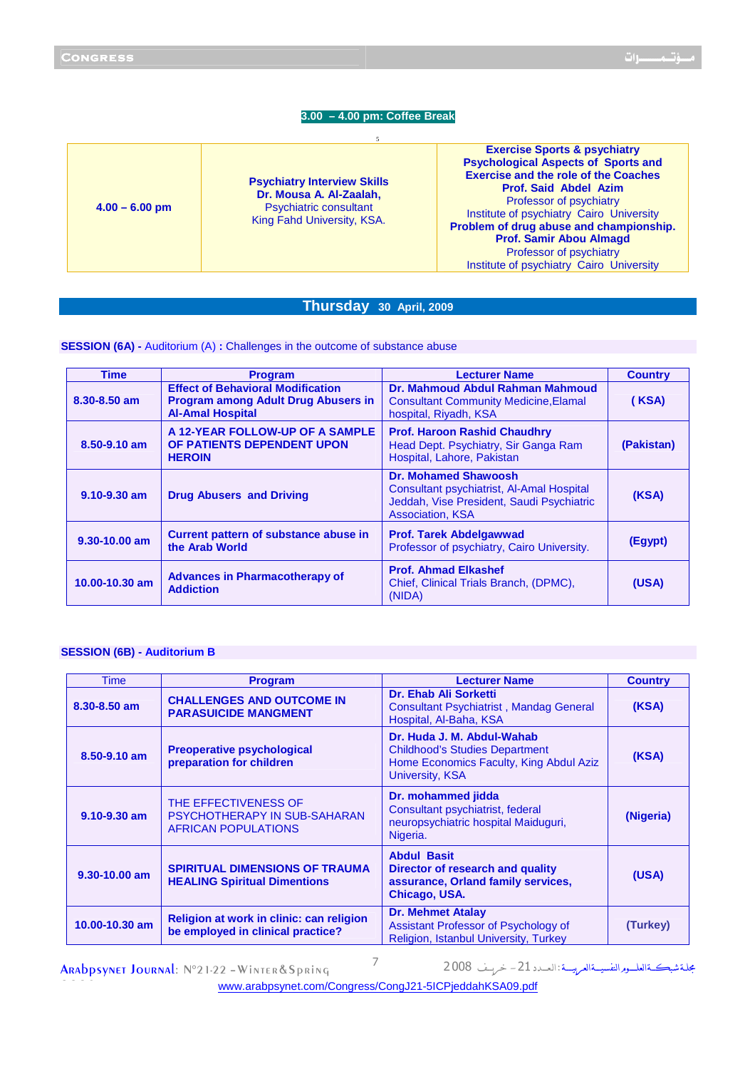# **3.00 – 4.00 pm: Coffee Break**

| $4.00 - 6.00$ pm | <b>Psychiatry Interview Skills</b><br>Dr. Mousa A. Al-Zaalah,<br><b>Psychiatric consultant</b><br>King Fahd University, KSA. | <b>Exercise Sports &amp; psychiatry</b><br><b>Psychological Aspects of Sports and</b><br><b>Exercise and the role of the Coaches</b><br><b>Prof. Said Abdel Azim</b><br>Professor of psychiatry<br>Institute of psychiatry Cairo University<br>Problem of drug abuse and championship.<br><b>Prof. Samir Abou Almagd</b><br>Professor of psychiatry<br>Institute of psychiatry Cairo University |
|------------------|------------------------------------------------------------------------------------------------------------------------------|-------------------------------------------------------------------------------------------------------------------------------------------------------------------------------------------------------------------------------------------------------------------------------------------------------------------------------------------------------------------------------------------------|
|------------------|------------------------------------------------------------------------------------------------------------------------------|-------------------------------------------------------------------------------------------------------------------------------------------------------------------------------------------------------------------------------------------------------------------------------------------------------------------------------------------------------------------------------------------------|

# **Thursday 30 April, 2009**

**SESSION (6A)** - Auditorium (A) : Challenges in the outcome of substance abuse

| <b>Time</b>      | <b>Program</b>                                                                                                    | <b>Lecturer Name</b>                                                                                                                             | <b>Country</b> |
|------------------|-------------------------------------------------------------------------------------------------------------------|--------------------------------------------------------------------------------------------------------------------------------------------------|----------------|
| 8.30-8.50 am     | <b>Effect of Behavioral Modification</b><br><b>Program among Adult Drug Abusers in</b><br><b>Al-Amal Hospital</b> | Dr. Mahmoud Abdul Rahman Mahmoud<br><b>Consultant Community Medicine, Elamal</b><br>hospital, Riyadh, KSA                                        | (KSA)          |
| 8.50-9.10 am     | A 12-YEAR FOLLOW-UP OF A SAMPLE<br>OF PATIENTS DEPENDENT UPON<br><b>HEROIN</b>                                    | <b>Prof. Haroon Rashid Chaudhry</b><br>Head Dept. Psychiatry, Sir Ganga Ram<br>Hospital, Lahore, Pakistan                                        | (Pakistan)     |
| $9.10 - 9.30$ am | <b>Drug Abusers and Driving</b>                                                                                   | <b>Dr. Mohamed Shawoosh</b><br>Consultant psychiatrist, Al-Amal Hospital<br>Jeddah, Vise President, Saudi Psychiatric<br><b>Association, KSA</b> | (KSA)          |
| 9.30-10.00 am    | Current pattern of substance abuse in<br>the Arab World                                                           | <b>Prof. Tarek Abdelgawwad</b><br>Professor of psychiatry, Cairo University.                                                                     | (Egypt)        |
| 10.00-10.30 am   | <b>Advances in Pharmacotherapy of</b><br><b>Addiction</b>                                                         | <b>Prof. Ahmad Elkashef</b><br>Chief, Clinical Trials Branch, (DPMC),<br>(NIDA)                                                                  | (USA)          |

#### **SESSION (6B) - Auditorium B**

| Time             | <b>Program</b>                                                                            | <b>Lecturer Name</b>                                                                                                              | <b>Country</b> |
|------------------|-------------------------------------------------------------------------------------------|-----------------------------------------------------------------------------------------------------------------------------------|----------------|
| 8.30-8.50 am     | <b>CHALLENGES AND OUTCOME IN</b><br><b>PARASUICIDE MANGMENT</b>                           | Dr. Ehab Ali Sorketti<br><b>Consultant Psychiatrist, Mandag General</b><br>Hospital, Al-Baha, KSA                                 | (KSA)          |
| 8.50-9.10 am     | <b>Preoperative psychological</b><br>preparation for children                             | Dr. Huda J. M. Abdul-Wahab<br><b>Childhood's Studies Department</b><br>Home Economics Faculty, King Abdul Aziz<br>University, KSA | (KSA)          |
| $9.10 - 9.30$ am | THE EFFECTIVENESS OF<br><b>PSYCHOTHERAPY IN SUB-SAHARAN</b><br><b>AFRICAN POPULATIONS</b> | Dr. mohammed jidda<br>Consultant psychiatrist, federal<br>neuropsychiatric hospital Maiduguri,<br>Nigeria.                        | (Nigeria)      |
| 9.30-10.00 am    | <b>SPIRITUAL DIMENSIONS OF TRAUMA</b><br><b>HEALING Spiritual Dimentions</b>              | <b>Abdul Basit</b><br>Director of research and quality<br>assurance, Orland family services,<br>Chicago, USA.                     | (USA)          |
| 10.00-10.30 am   | Religion at work in clinic: can religion<br>be employed in clinical practice?             | <b>Dr. Mehmet Atalay</b><br>Assistant Professor of Psychology of<br>Religion, Istanbul University, Turkey                         | (Turkey)       |

ــ- ـــ ــــــ ــــ  ـــــ : ـ ــــ 21 - ــــ <sup>2008</sup> <sup>7</sup>

www.arabpsynet.com/Congress/CongJ21-5ICPjeddahKSA09.pdf